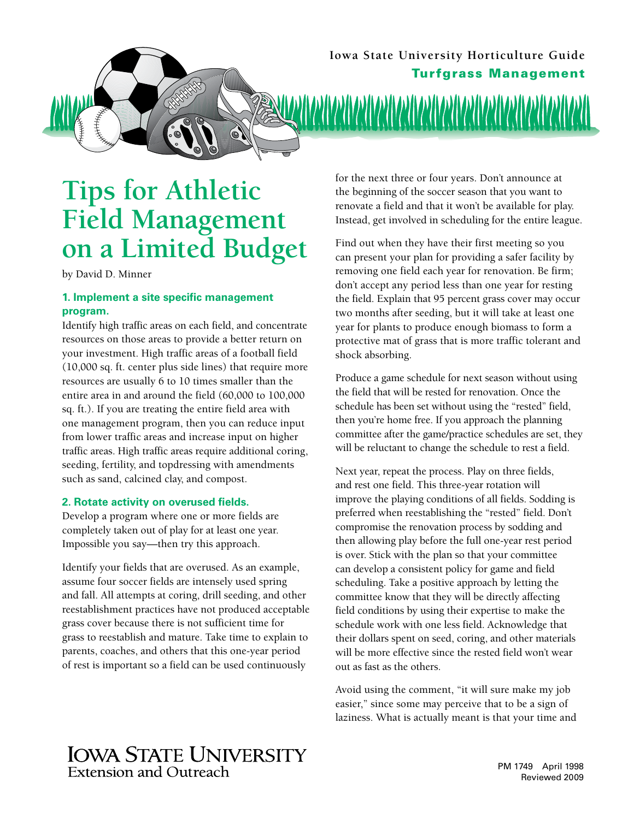

# **Tips for Athletic Field Management on a Limited Budget**

by David D. Minner

#### **1. Implement a site specific management program.**

Identify high traffic areas on each field, and concentrate resources on those areas to provide a better return on your investment. High traffic areas of a football field (10,000 sq. ft. center plus side lines) that require more resources are usually 6 to 10 times smaller than the entire area in and around the field (60,000 to 100,000 sq. ft.). If you are treating the entire field area with one management program, then you can reduce input from lower traffic areas and increase input on higher traffic areas. High traffic areas require additional coring, seeding, fertility, and topdressing with amendments such as sand, calcined clay, and compost.

#### **2. Rotate activity on overused fields.**

Develop a program where one or more fields are completely taken out of play for at least one year. Impossible you say—then try this approach.

Identify your fields that are overused. As an example, assume four soccer fields are intensely used spring and fall. All attempts at coring, drill seeding, and other reestablishment practices have not produced acceptable grass cover because there is not sufficient time for grass to reestablish and mature. Take time to explain to parents, coaches, and others that this one‑year period of rest is important so a field can be used continuously

for the next three or four years. Don't announce at the beginning of the soccer season that you want to renovate a field and that it won't be available for play. Instead, get involved in scheduling for the entire league.

Find out when they have their first meeting so you can present your plan for providing a safer facility by removing one field each year for renovation. Be firm; don't accept any period less than one year for resting the field. Explain that 95 percent grass cover may occur two months after seeding, but it will take at least one year for plants to produce enough biomass to form a protective mat of grass that is more traffic tolerant and shock absorbing.

Produce a game schedule for next season without using the field that will be rested for renovation. Once the schedule has been set without using the "rested" field, then you're home free. If you approach the planning committee after the game/practice schedules are set, they will be reluctant to change the schedule to rest a field.

Next year, repeat the process. Play on three fields, and rest one field. This three-year rotation will improve the playing conditions of all fields. Sodding is preferred when reestablishing the "rested" field. Don't compromise the renovation process by sodding and then allowing play before the full one-year rest period is over. Stick with the plan so that your committee can develop a consistent policy for game and field scheduling. Take a positive approach by letting the committee know that they will be directly affecting field conditions by using their expertise to make the schedule work with one less field. Acknowledge that their dollars spent on seed, coring, and other materials will be more effective since the rested field won't wear out as fast as the others.

Avoid using the comment, "it will sure make my job easier," since some may perceive that to be a sign of laziness. What is actually meant is that your time and

## **IOWA STATE UNIVERSITY Extension and Outreach**

PM 1749 April 1998 Reviewed 2009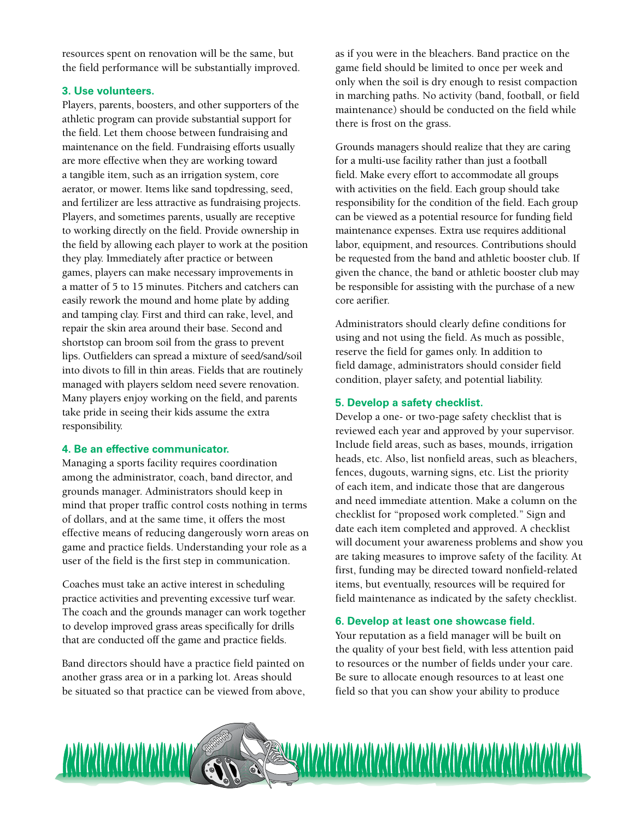resources spent on renovation will be the same, but the field performance will be substantially improved.

#### **3. Use volunteers.**

Players, parents, boosters, and other supporters of the athletic program can provide substantial support for the field. Let them choose between fundraising and maintenance on the field. Fundraising efforts usually are more effective when they are working toward a tangible item, such as an irrigation system, core aerator, or mower. Items like sand topdressing, seed, and fertilizer are less attractive as fundraising projects. Players, and sometimes parents, usually are receptive to working directly on the field. Provide ownership in the field by allowing each player to work at the position they play. Immediately after practice or between games, players can make necessary improvements in a matter of 5 to 15 minutes. Pitchers and catchers can easily rework the mound and home plate by adding and tamping clay. First and third can rake, level, and repair the skin area around their base. Second and shortstop can broom soil from the grass to prevent lips. Outfielders can spread a mixture of seed/sand/soil into divots to fill in thin areas. Fields that are routinely managed with players seldom need severe renovation. Many players enjoy working on the field, and parents take pride in seeing their kids assume the extra responsibility.

#### **4. Be an effective communicator.**

Managing a sports facility requires coordination among the administrator, coach, band director, and grounds manager. Administrators should keep in mind that proper traffic control costs nothing in terms of dollars, and at the same time, it offers the most effective means of reducing dangerously worn areas on game and practice fields. Understanding your role as a user of the field is the first step in communication.

Coaches must take an active interest in scheduling practice activities and preventing excessive turf wear. The coach and the grounds manager can work together to develop improved grass areas specifically for drills that are conducted off the game and practice fields.

Band directors should have a practice field painted on another grass area or in a parking lot. Areas should be situated so that practice can be viewed from above, as if you were in the bleachers. Band practice on the game field should be limited to once per week and only when the soil is dry enough to resist compaction in marching paths. No activity (band, football, or field maintenance) should be conducted on the field while there is frost on the grass.

Grounds managers should realize that they are caring for a multi‑use facility rather than just a football field. Make every effort to accommodate all groups with activities on the field. Each group should take responsibility for the condition of the field. Each group can be viewed as a potential resource for funding field maintenance expenses. Extra use requires additional labor, equipment, and resources. Contributions should be requested from the band and athletic booster club. If given the chance, the band or athletic booster club may be responsible for assisting with the purchase of a new core aerifier.

Administrators should clearly define conditions for using and not using the field. As much as possible, reserve the field for games only. In addition to field damage, administrators should consider field condition, player safety, and potential liability.

#### **5. Develop a safety checklist.**

Develop a one‑ or two‑page safety checklist that is reviewed each year and approved by your supervisor. Include field areas, such as bases, mounds, irrigation heads, etc. Also, list nonfield areas, such as bleachers, fences, dugouts, warning signs, etc. List the priority of each item, and indicate those that are dangerous and need immediate attention. Make a column on the checklist for "proposed work completed." Sign and date each item completed and approved. A checklist will document your awareness problems and show you are taking measures to improve safety of the facility. At first, funding may be directed toward nonfield-related items, but eventually, resources will be required for field maintenance as indicated by the safety checklist.

#### **6. Develop at least one showcase field.**

Your reputation as a field manager will be built on the quality of your best field, with less attention paid to resources or the number of fields under your care. Be sure to allocate enough resources to at least one field so that you can show your ability to produce

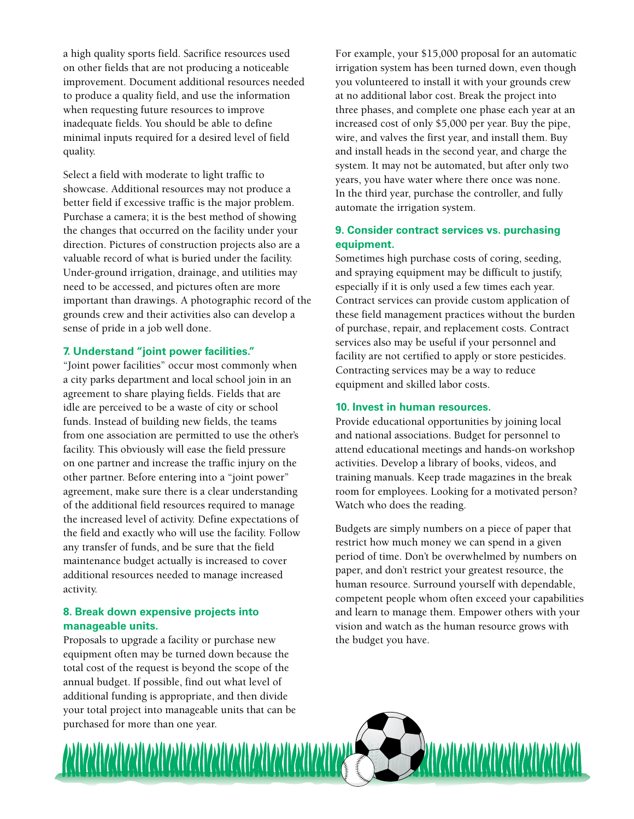a high quality sports field. Sacrifice resources used on other fields that are not producing a noticeable improvement. Document additional resources needed to produce a quality field, and use the information when requesting future resources to improve inadequate fields. You should be able to define minimal inputs required for a desired level of field quality.

Select a field with moderate to light traffic to showcase. Additional resources may not produce a better field if excessive traffic is the major problem. Purchase a camera; it is the best method of showing the changes that occurred on the facility under your direction. Pictures of construction projects also are a valuable record of what is buried under the facility. Under-ground irrigation, drainage, and utilities may need to be accessed, and pictures often are more important than drawings. A photographic record of the grounds crew and their activities also can develop a sense of pride in a job well done.

#### **7. Understand "joint power facilities."**

"Joint power facilities" occur most commonly when a city parks department and local school join in an agreement to share playing fields. Fields that are idle are perceived to be a waste of city or school funds. Instead of building new fields, the teams from one association are permitted to use the other's facility. This obviously will ease the field pressure on one partner and increase the traffic injury on the other partner. Before entering into a "joint power" agreement, make sure there is a clear understanding of the additional field resources required to manage the increased level of activity. Define expectations of the field and exactly who will use the facility. Follow any transfer of funds, and be sure that the field maintenance budget actually is increased to cover additional resources needed to manage increased activity.

#### **8. Break down expensive projects into manageable units.**

Proposals to upgrade a facility or purchase new equipment often may be turned down because the total cost of the request is beyond the scope of the annual budget. If possible, find out what level of additional funding is appropriate, and then divide your total project into manageable units that can be purchased for more than one year.

3

For example, your \$15,000 proposal for an automatic irrigation system has been turned down, even though you volunteered to install it with your grounds crew at no additional labor cost. Break the project into three phases, and complete one phase each year at an increased cost of only \$5,000 per year. Buy the pipe, wire, and valves the first year, and install them. Buy and install heads in the second year, and charge the system. It may not be automated, but after only two years, you have water where there once was none. In the third year, purchase the controller, and fully automate the irrigation system.

#### **9. Consider contract services vs. purchasing equipment.**

Sometimes high purchase costs of coring, seeding, and spraying equipment may be difficult to justify, especially if it is only used a few times each year. Contract services can provide custom application of these field management practices without the burden of purchase, repair, and replacement costs. Contract services also may be useful if your personnel and facility are not certified to apply or store pesticides. Contracting services may be a way to reduce equipment and skilled labor costs.

#### **10. Invest in human resources.**

Provide educational opportunities by joining local and national associations. Budget for personnel to attend educational meetings and hands-on workshop activities. Develop a library of books, videos, and training manuals. Keep trade magazines in the break room for employees. Looking for a motivated person? Watch who does the reading.

Budgets are simply numbers on a piece of paper that restrict how much money we can spend in a given period of time. Don't be overwhelmed by numbers on paper, and don't restrict your greatest resource, the human resource. Surround yourself with dependable, competent people whom often exceed your capabilities and learn to manage them. Empower others with your vision and watch as the human resource grows with the budget you have.

<u>ASUASUASUASUASUASUASU</u>